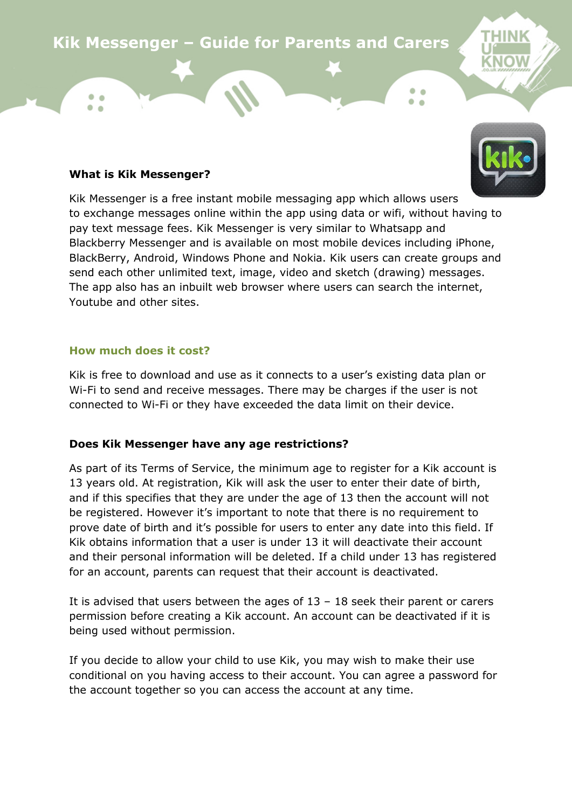# **Kik Messenger – Guide for Parents and Carers**

#### **What is Kik Messenger?**

 $\bullet$   $\bullet$ 

THINK

Kik Messenger is a free instant mobile messaging app which allows users to exchange messages online within the app using data or wifi, without having to pay text message fees. Kik Messenger is very similar to Whatsapp and Blackberry Messenger and is available on most mobile devices including iPhone, BlackBerry, Android, Windows Phone and Nokia. Kik users can create groups and send each other unlimited text, image, video and sketch (drawing) messages. The app also has an inbuilt web browser where users can search the internet, Youtube and other sites.

#### **How much does it cost?**

Kik is free to download and use as it connects to a user's existing data plan or Wi-Fi to send and receive messages. There may be charges if the user is not connected to Wi-Fi or they have exceeded the data limit on their device.

## **Does Kik Messenger have any age restrictions?**

As part of its Terms of Service, the minimum age to register for a Kik account is 13 years old. At registration, Kik will ask the user to enter their date of birth, and if this specifies that they are under the age of 13 then the account will not be registered. However it's important to note that there is no requirement to prove date of birth and it's possible for users to enter any date into this field. If Kik obtains information that a user is under 13 it will deactivate their account and their personal information will be deleted. If a child under 13 has registered for an account, parents can request that their account is deactivated.

It is advised that users between the ages of  $13 - 18$  seek their parent or carers permission before creating a Kik account. An account can be deactivated if it is being used without permission.

If you decide to allow your child to use Kik, you may wish to make their use conditional on you having access to their account. You can agree a password for the account together so you can access the account at any time.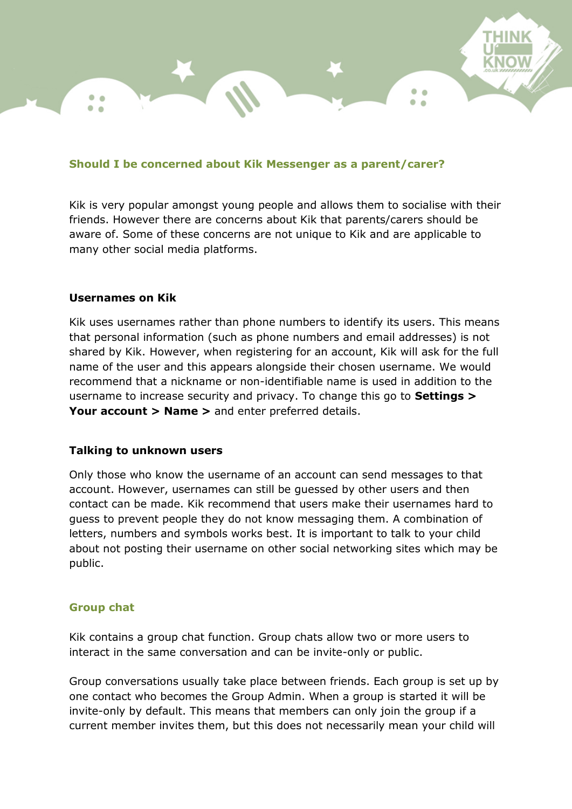## **Should I be concerned about Kik Messenger as a parent/carer?**

Kik is very popular amongst young people and allows them to socialise with their friends. However there are concerns about Kik that parents/carers should be aware of. Some of these concerns are not unique to Kik and are applicable to many other social media platforms.

 $\epsilon$ 

#### **Usernames on Kik**

Kik uses usernames rather than phone numbers to identify its users. This means that personal information (such as phone numbers and email addresses) is not shared by Kik. However, when registering for an account, Kik will ask for the full name of the user and this appears alongside their chosen username. We would recommend that a nickname or non-identifiable name is used in addition to the username to increase security and privacy. To change this go to **Settings > Your account > Name >** and enter preferred details.

## **Talking to unknown users**

Only those who know the username of an account can send messages to that account. However, usernames can still be guessed by other users and then contact can be made. Kik recommend that users make their usernames hard to guess to prevent people they do not know messaging them. A combination of letters, numbers and symbols works best. It is important to talk to your child about not posting their username on other social networking sites which may be public.

## **Group chat**

Kik contains a group chat function. Group chats allow two or more users to interact in the same conversation and can be invite-only or public.

Group conversations usually take place between friends. Each group is set up by one contact who becomes the Group Admin. When a group is started it will be invite-only by default. This means that members can only join the group if a current member invites them, but this does not necessarily mean your child will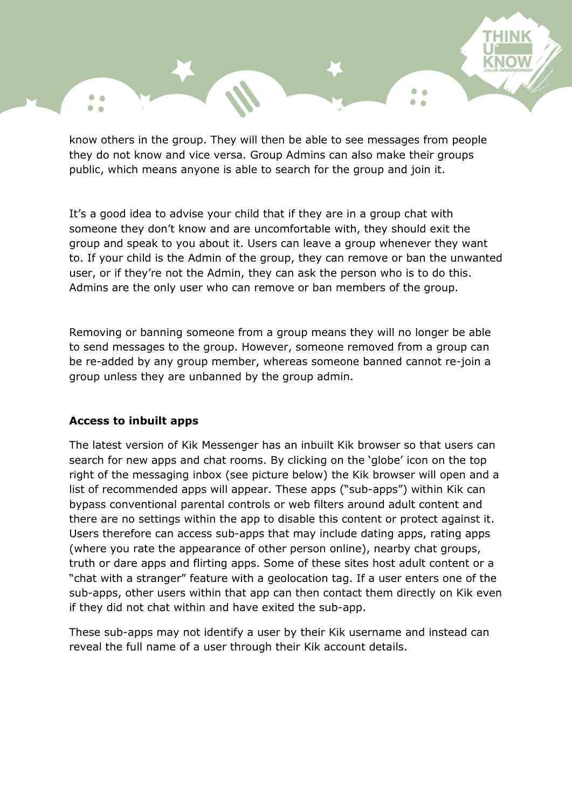know others in the group. They will then be able to see messages from people they do not know and vice versa. Group Admins can also make their groups public, which means anyone is able to search for the group and join it.

It's a good idea to advise your child that if they are in a group chat with someone they don't know and are uncomfortable with, they should exit the group and speak to you about it. Users can leave a group whenever they want to. If your child is the Admin of the group, they can remove or ban the unwanted user, or if they're not the Admin, they can ask the person who is to do this. Admins are the only user who can remove or ban members of the group.

Removing or banning someone from a group means they will no longer be able to send messages to the group. However, someone removed from a group can be re-added by any group member, whereas someone banned cannot re-join a group unless they are unbanned by the group admin.

## **Access to inbuilt apps**

 $\bullet$   $\bullet$  $\bullet$   $\bullet$ 

The latest version of Kik Messenger has an inbuilt Kik browser so that users can search for new apps and chat rooms. By clicking on the 'globe' icon on the top right of the messaging inbox (see picture below) the Kik browser will open and a list of recommended apps will appear. These apps ("sub-apps") within Kik can bypass conventional parental controls or web filters around adult content and there are no settings within the app to disable this content or protect against it. Users therefore can access sub-apps that may include dating apps, rating apps (where you rate the appearance of other person online), nearby chat groups, truth or dare apps and flirting apps. Some of these sites host adult content or a "chat with a stranger" feature with a geolocation tag. If a user enters one of the sub-apps, other users within that app can then contact them directly on Kik even if they did not chat within and have exited the sub-app.

These sub-apps may not identify a user by their Kik username and instead can reveal the full name of a user through their Kik account details.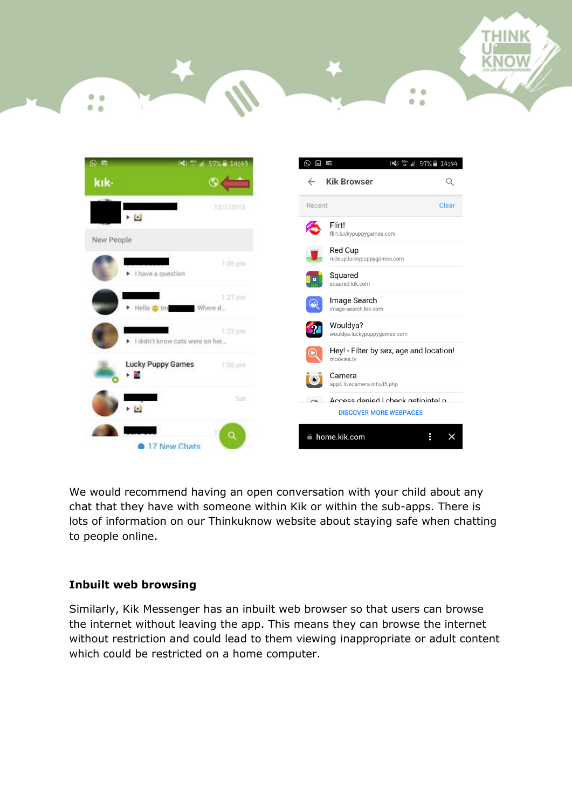

THINK

 $\bullet$  $\bullet$ 

۰  $\bullet$ 

We would recommend having an open conversation with your child about any chat that they have with someone within Kik or within the sub-apps. There is lots of information on our Thinkuknow website about staying safe when chatting to people online.

# **Inbuilt web browsing**

۰  $\sim$ 

 $\bullet$  $\bullet$ 

Similarly, Kik Messenger has an inbuilt web browser so that users can browse the internet without leaving the app. This means they can browse the internet without restriction and could lead to them viewing inappropriate or adult content which could be restricted on a home computer.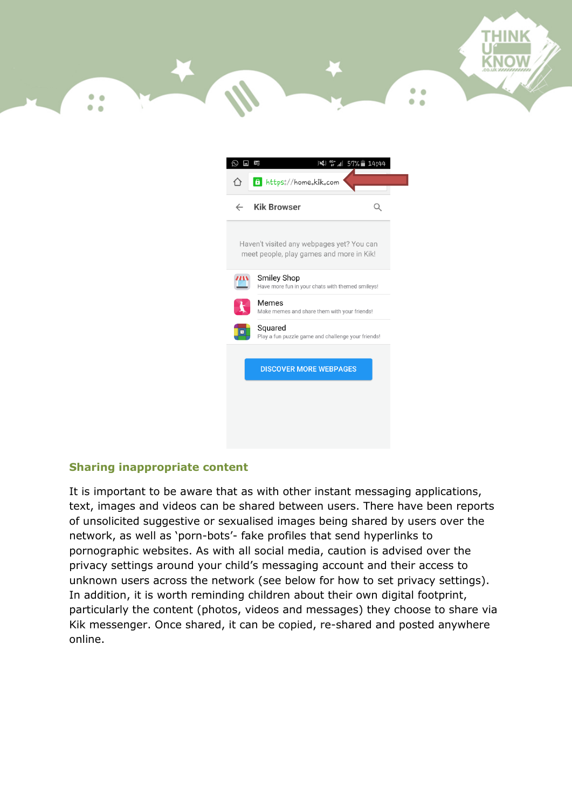

| E                                                                                     | $46^{+}$ all 57% 14:44<br>冷                                            |
|---------------------------------------------------------------------------------------|------------------------------------------------------------------------|
| ለ                                                                                     | 6 https://home.kik.com                                                 |
| $\leftarrow$                                                                          | <b>Kik Browser</b>                                                     |
| Haven't visited any webpages yet? You can<br>meet people, play games and more in Kik! |                                                                        |
|                                                                                       | <b>Smiley Shop</b><br>Have more fun in your chats with themed smileys! |
|                                                                                       | Memes<br>Make memes and share them with your friends!                  |
|                                                                                       | Squared<br>Play a fun puzzle game and challenge your friends!          |
|                                                                                       | <b>DISCOVER MORE WEBPAGES</b>                                          |
|                                                                                       |                                                                        |
|                                                                                       |                                                                        |
|                                                                                       |                                                                        |

# **Sharing inappropriate content**

It is important to be aware that as with other instant messaging applications, text, images and videos can be shared between users. There have been reports of unsolicited suggestive or sexualised images being shared by users over the network, as well as 'porn-bots'- fake profiles that send hyperlinks to pornographic websites. As with all social media, caution is advised over the privacy settings around your child's messaging account and their access to unknown users across the network (see below for how to set privacy settings). In addition, it is worth reminding children about their own digital footprint, particularly the content (photos, videos and messages) they choose to share via Kik messenger. Once shared, it can be copied, re-shared and posted anywhere online.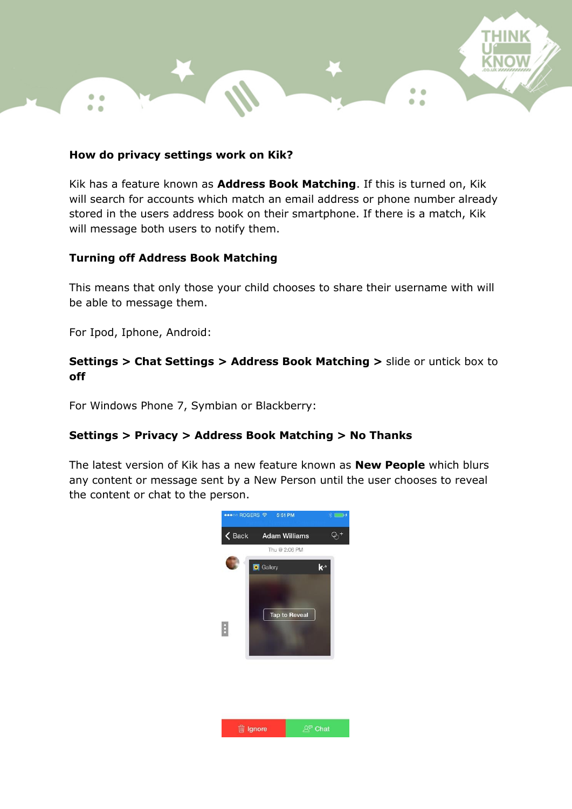## **How do privacy settings work on Kik?**

Kik has a feature known as **Address Book Matching**. If this is turned on, Kik will search for accounts which match an email address or phone number already stored in the users address book on their smartphone. If there is a match, Kik will message both users to notify them.

۰  $\bullet$  $\bullet$ 

## **Turning off Address Book Matching**

This means that only those your child chooses to share their username with will be able to message them.

For Ipod, Iphone, Android:

 $^{\circ}$ 

## **Settings > Chat Settings > Address Book Matching >** slide or untick box to **off**

For Windows Phone 7, Symbian or Blackberry:

## **Settings > Privacy > Address Book Matching > No Thanks**

The latest version of Kik has a new feature known as **New People** which blurs any content or message sent by a New Person until the user chooses to reveal the content or chat to the person.

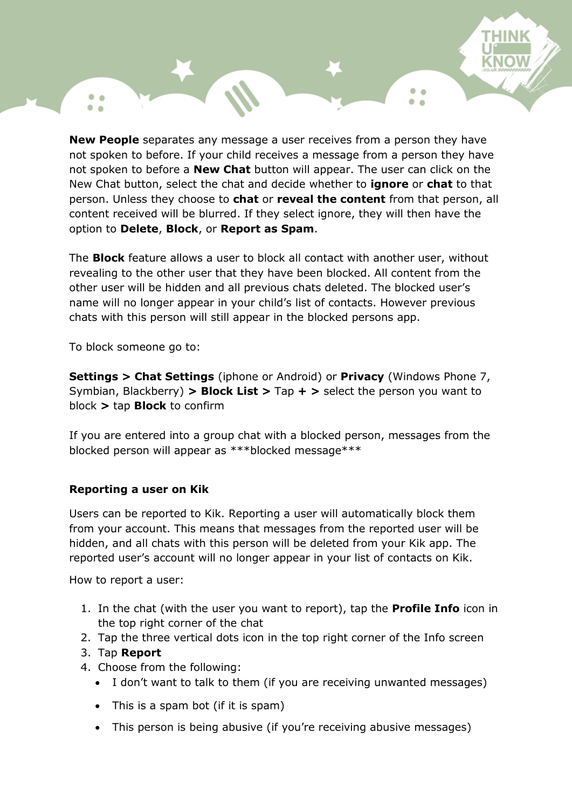**New People** separates any message a user receives from a person they have not spoken to before. If your child receives a message from a person they have not spoken to before a **New Chat** button will appear. The user can click on the New Chat button, select the chat and decide whether to **ignore** or **chat** to that person. Unless they choose to **chat** or **reveal the content** from that person, all content received will be blurred. If they select ignore, they will then have the option to **Delete**, **Block**, or **Report as Spam**.

The **Block** feature allows a user to block all contact with another user, without revealing to the other user that they have been blocked. All content from the other user will be hidden and all previous chats deleted. The blocked user's name will no longer appear in your child's list of contacts. However previous chats with this person will still appear in the blocked persons app.

To block someone go to:

 $\bullet$   $\bullet$ 

**Settings > Chat Settings** (iphone or Android) or **Privacy** (Windows Phone 7, Symbian, Blackberry) **> Block List >** Tap **+ >** select the person you want to block **>** tap **Block** to confirm

If you are entered into a group chat with a blocked person, messages from the blocked person will appear as \*\*\*blocked message\*\*\*

## **Reporting a user on Kik**

Users can be reported to Kik. Reporting a user will automatically block them from your account. This means that messages from the reported user will be hidden, and all chats with this person will be deleted from your Kik app. The reported user's account will no longer appear in your list of contacts on Kik.

How to report a user:

- 1. In the chat (with the user you want to report), tap the **Profile Info** icon in the top right corner of the chat
- 2. Tap the three vertical dots icon in the top right corner of the Info screen
- 3. Tap **Report**
- 4. Choose from the following:
	- I don't want to talk to them (if you are receiving unwanted messages)
	- This is a spam bot (if it is spam)
	- This person is being abusive (if you're receiving abusive messages)